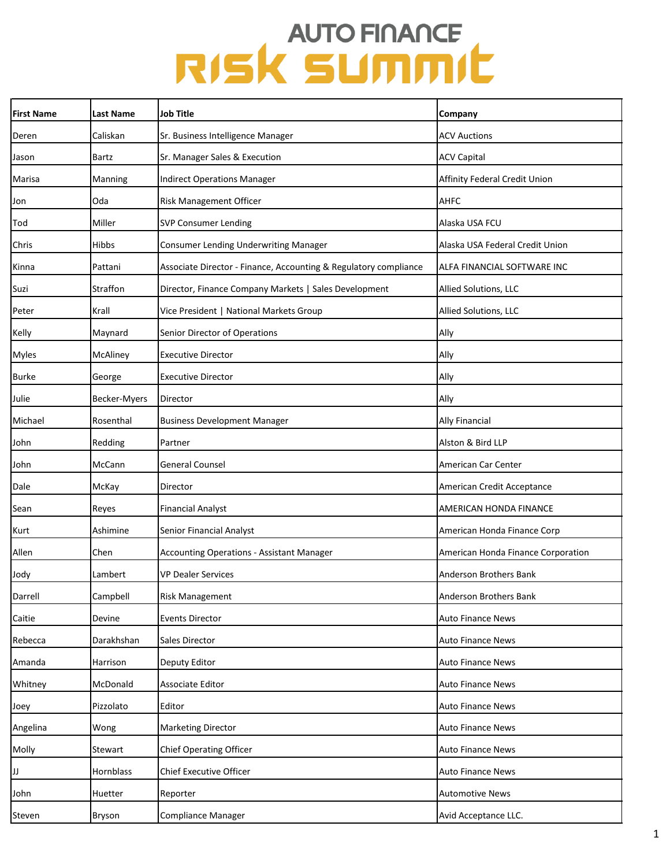| <b>First Name</b> | Last Name     | Job Title                                                        | Company                            |
|-------------------|---------------|------------------------------------------------------------------|------------------------------------|
| Deren             | Caliskan      | Sr. Business Intelligence Manager                                | <b>ACV Auctions</b>                |
| Jason             | Bartz         | Sr. Manager Sales & Execution                                    | <b>ACV Capital</b>                 |
| Marisa            | Manning       | <b>Indirect Operations Manager</b>                               | Affinity Federal Credit Union      |
| Jon               | Oda           | Risk Management Officer                                          | <b>AHFC</b>                        |
| Tod               | Miller        | SVP Consumer Lending                                             | Alaska USA FCU                     |
| Chris             | <b>Hibbs</b>  | Consumer Lending Underwriting Manager                            | Alaska USA Federal Credit Union    |
| Kinna             | Pattani       | Associate Director - Finance, Accounting & Regulatory compliance | ALFA FINANCIAL SOFTWARE INC        |
| Suzi              | Straffon      | Director, Finance Company Markets   Sales Development            | Allied Solutions, LLC              |
| Peter             | Krall         | Vice President   National Markets Group                          | Allied Solutions, LLC              |
| Kelly             | Maynard       | Senior Director of Operations                                    | Ally                               |
| Myles             | McAliney      | <b>Executive Director</b>                                        | Ally                               |
| <b>Burke</b>      | George        | <b>Executive Director</b>                                        | Ally                               |
| Julie             | Becker-Myers  | Director                                                         | Ally                               |
| Michael           | Rosenthal     | <b>Business Development Manager</b>                              | <b>Ally Financial</b>              |
| John              | Redding       | Partner                                                          | Alston & Bird LLP                  |
| John              | McCann        | <b>General Counsel</b>                                           | American Car Center                |
| Dale              | McKay         | Director                                                         | American Credit Acceptance         |
| Sean              | Reyes         | <b>Financial Analyst</b>                                         | AMERICAN HONDA FINANCE             |
| Kurt              | Ashimine      | Senior Financial Analyst                                         | American Honda Finance Corp        |
| Allen             | Chen          | <b>Accounting Operations - Assistant Manager</b>                 | American Honda Finance Corporation |
| Jody              | Lambert       | <b>VP Dealer Services</b>                                        | Anderson Brothers Bank             |
| Darrell           | Campbell      | <b>Risk Management</b>                                           | Anderson Brothers Bank             |
| Caitie            | Devine        | <b>Events Director</b>                                           | Auto Finance News                  |
| Rebecca           | Darakhshan    | Sales Director                                                   | <b>Auto Finance News</b>           |
| Amanda            | Harrison      | Deputy Editor                                                    | <b>Auto Finance News</b>           |
| Whitney           | McDonald      | Associate Editor                                                 | Auto Finance News                  |
| Joey              | Pizzolato     | Editor                                                           | <b>Auto Finance News</b>           |
| Angelina          | Wong          | <b>Marketing Director</b>                                        | <b>Auto Finance News</b>           |
| Molly             | Stewart       | <b>Chief Operating Officer</b>                                   | <b>Auto Finance News</b>           |
| JJ.               | Hornblass     | Chief Executive Officer                                          | <b>Auto Finance News</b>           |
| John              | Huetter       | Reporter                                                         | <b>Automotive News</b>             |
| Steven            | <b>Bryson</b> | Compliance Manager                                               | Avid Acceptance LLC.               |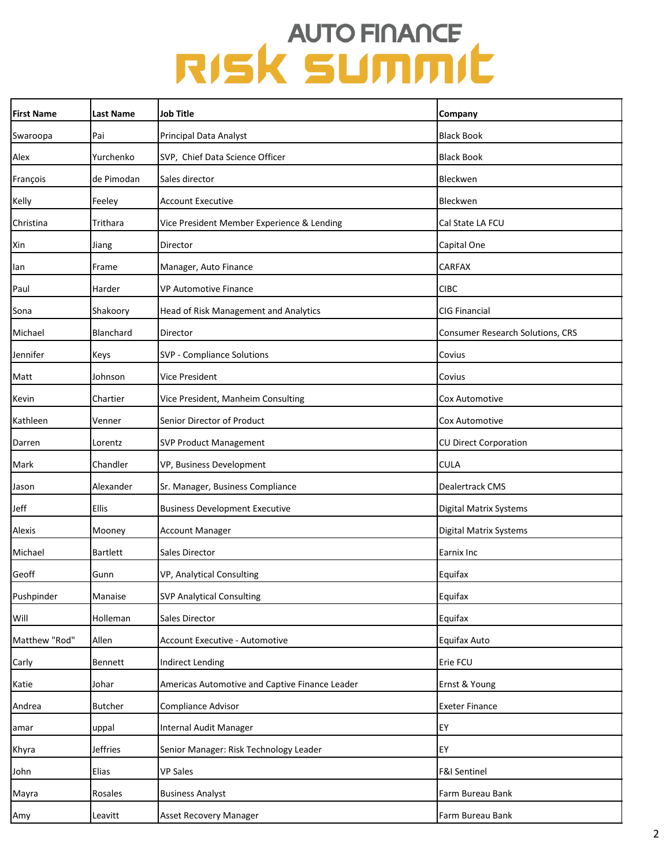| <b>First Name</b> | <b>Last Name</b> | Job Title                                      | Company                          |
|-------------------|------------------|------------------------------------------------|----------------------------------|
| Swaroopa          | Pai              | Principal Data Analyst                         | <b>Black Book</b>                |
| Alex              | Yurchenko        | SVP, Chief Data Science Officer                | <b>Black Book</b>                |
| François          | de Pimodan       | Sales director                                 | Bleckwen                         |
| Kelly             | Feeley           | <b>Account Executive</b>                       | Bleckwen                         |
| Christina         | Trithara         | Vice President Member Experience & Lending     | Cal State LA FCU                 |
| Xin               | Jiang            | Director                                       | Capital One                      |
| lan               | Frame            | Manager, Auto Finance                          | <b>CARFAX</b>                    |
| Paul              | Harder           | VP Automotive Finance                          | <b>CIBC</b>                      |
| Sona              | Shakoory         | Head of Risk Management and Analytics          | CIG Financial                    |
| Michael           | Blanchard        | Director                                       | Consumer Research Solutions, CRS |
| Jennifer          | Keys             | SVP - Compliance Solutions                     | Covius                           |
| Matt              | Johnson          | Vice President                                 | Covius                           |
| Kevin             | Chartier         | Vice President, Manheim Consulting             | Cox Automotive                   |
| Kathleen          | Venner           | Senior Director of Product                     | Cox Automotive                   |
| Darren            | Lorentz          | <b>SVP Product Management</b>                  | <b>CU Direct Corporation</b>     |
| Mark              | Chandler         | VP, Business Development                       | <b>CULA</b>                      |
| Jason             | Alexander        | Sr. Manager, Business Compliance               | Dealertrack CMS                  |
| Jeff              | Ellis            | <b>Business Development Executive</b>          | Digital Matrix Systems           |
| Alexis            | Mooney           | <b>Account Manager</b>                         | Digital Matrix Systems           |
| Michael           | <b>Bartlett</b>  | Sales Director                                 | Earnix Inc                       |
| Geoff             | Gunn             | VP, Analytical Consulting                      | Equifax                          |
| Pushpinder        | Manaise          | <b>SVP Analytical Consulting</b>               | Equifax                          |
| Will              | Holleman         | Sales Director                                 | Equifax                          |
| Matthew "Rod"     | Allen            | Account Executive - Automotive                 | Equifax Auto                     |
| Carly             | Bennett          | Indirect Lending                               | Erie FCU                         |
| Katie             | Johar            | Americas Automotive and Captive Finance Leader | Ernst & Young                    |
| Andrea            | <b>Butcher</b>   | Compliance Advisor                             | <b>Exeter Finance</b>            |
| amar              | uppal            | Internal Audit Manager                         | EY                               |
| Khyra             | Jeffries         | Senior Manager: Risk Technology Leader         | EY                               |
| John              | Elias            | <b>VP Sales</b>                                | <b>F&amp;I Sentinel</b>          |
| Mayra             | Rosales          | <b>Business Analyst</b>                        | Farm Bureau Bank                 |
| Amy               | Leavitt          | <b>Asset Recovery Manager</b>                  | Farm Bureau Bank                 |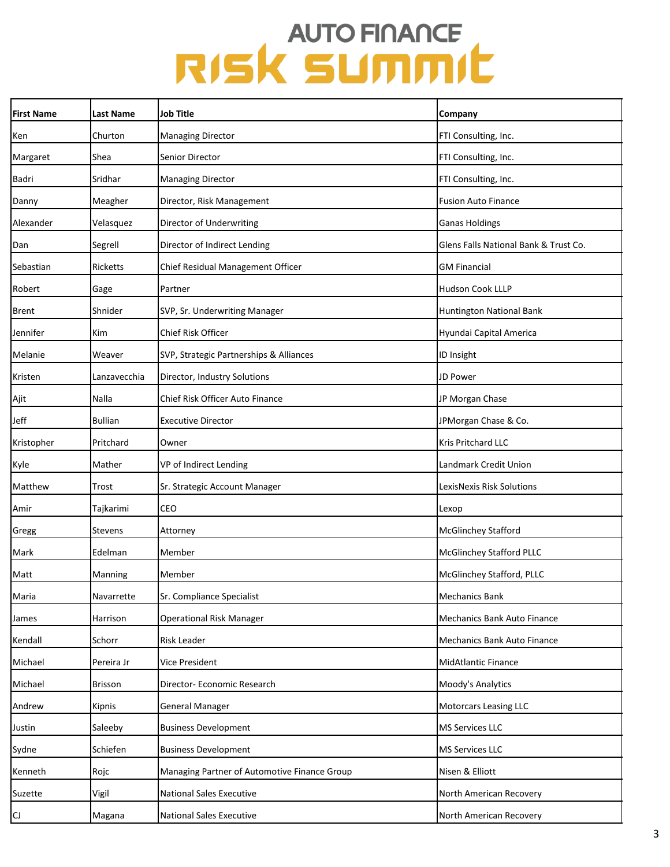| <b>First Name</b> | <b>Last Name</b> | Job Title                                    | Company                               |
|-------------------|------------------|----------------------------------------------|---------------------------------------|
| Ken               | Churton          | <b>Managing Director</b>                     | FTI Consulting, Inc.                  |
| Margaret          | Shea             | Senior Director                              | FTI Consulting, Inc.                  |
| Badri             | Sridhar          | <b>Managing Director</b>                     | FTI Consulting, Inc.                  |
| Danny             | Meagher          | Director, Risk Management                    | <b>Fusion Auto Finance</b>            |
| Alexander         | Velasquez        | Director of Underwriting                     | <b>Ganas Holdings</b>                 |
| Dan               | Segrell          | Director of Indirect Lending                 | Glens Falls National Bank & Trust Co. |
| Sebastian         | <b>Ricketts</b>  | Chief Residual Management Officer            | <b>GM Financial</b>                   |
| Robert            | Gage             | Partner                                      | <b>Hudson Cook LLLP</b>               |
| <b>Brent</b>      | Shnider          | SVP, Sr. Underwriting Manager                | Huntington National Bank              |
| Jennifer          | Kim              | <b>Chief Risk Officer</b>                    | Hyundai Capital America               |
| Melanie           | Weaver           | SVP, Strategic Partnerships & Alliances      | ID Insight                            |
| Kristen           | Lanzavecchia     | Director, Industry Solutions                 | JD Power                              |
| Ajit              | Nalla            | Chief Risk Officer Auto Finance              | JP Morgan Chase                       |
| Jeff              | <b>Bullian</b>   | <b>Executive Director</b>                    | JPMorgan Chase & Co.                  |
| Kristopher        | Pritchard        | Owner                                        | <b>Kris Pritchard LLC</b>             |
| Kyle              | Mather           | VP of Indirect Lending                       | Landmark Credit Union                 |
| Matthew           | Trost            | Sr. Strategic Account Manager                | LexisNexis Risk Solutions             |
| Amir              | Tajkarimi        | CEO                                          | Lexop                                 |
| Gregg             | Stevens          | Attorney                                     | <b>McGlinchey Stafford</b>            |
| Mark              | Edelman          | Member                                       | <b>McGlinchey Stafford PLLC</b>       |
| Matt              | Manning          | Member                                       | McGlinchey Stafford, PLLC             |
| Maria             | Navarrette       | Sr. Compliance Specialist                    | <b>Mechanics Bank</b>                 |
| James             | Harrison         | <b>Operational Risk Manager</b>              | Mechanics Bank Auto Finance           |
| Kendall           | Schorr           | Risk Leader                                  | <b>Mechanics Bank Auto Finance</b>    |
| Michael           | Pereira Jr       | Vice President                               | <b>MidAtlantic Finance</b>            |
| Michael           | <b>Brisson</b>   | Director- Economic Research                  | Moody's Analytics                     |
| Andrew            | Kipnis           | General Manager                              | <b>Motorcars Leasing LLC</b>          |
| Justin            | Saleeby          | <b>Business Development</b>                  | <b>MS Services LLC</b>                |
| Sydne             | Schiefen         | <b>Business Development</b>                  | <b>MS Services LLC</b>                |
| Kenneth           | Rojc             | Managing Partner of Automotive Finance Group | Nisen & Elliott                       |
| Suzette           | Vigil            | <b>National Sales Executive</b>              | North American Recovery               |
| $\overline{c}$    | Magana           | National Sales Executive                     | North American Recovery               |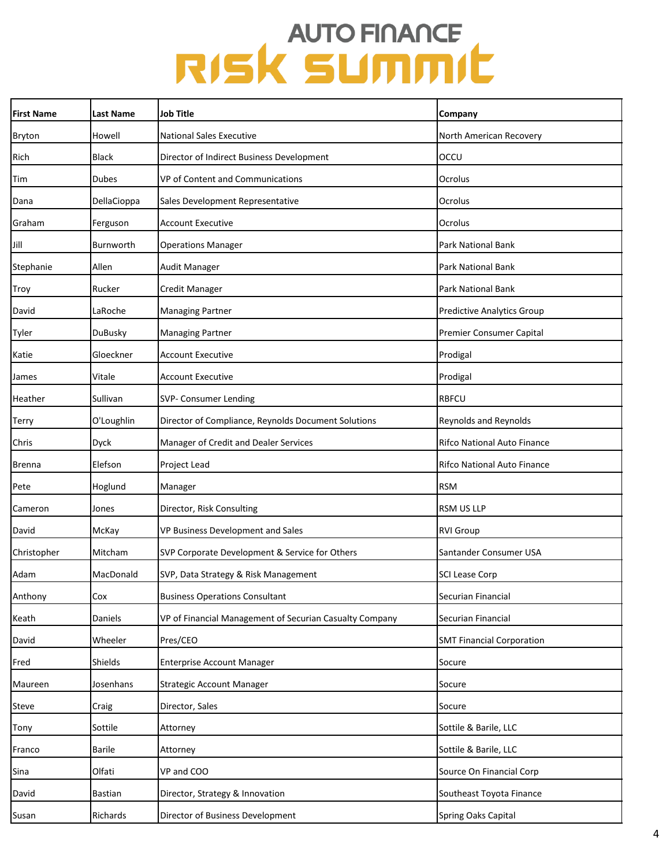| <b>First Name</b> | Last Name      | <b>Job Title</b>                                        | Company                           |
|-------------------|----------------|---------------------------------------------------------|-----------------------------------|
| Bryton            | Howell         | <b>National Sales Executive</b>                         | North American Recovery           |
| Rich              | <b>Black</b>   | Director of Indirect Business Development               | OCCU                              |
| Tim               | <b>Dubes</b>   | VP of Content and Communications                        | Ocrolus                           |
| Dana              | DellaCioppa    | Sales Development Representative                        | Ocrolus                           |
| Graham            | Ferguson       | <b>Account Executive</b>                                | Ocrolus                           |
| Jill              | Burnworth      | <b>Operations Manager</b>                               | Park National Bank                |
| Stephanie         | Allen          | Audit Manager                                           | Park National Bank                |
| Troy              | Rucker         | Credit Manager                                          | Park National Bank                |
| David             | LaRoche        | <b>Managing Partner</b>                                 | <b>Predictive Analytics Group</b> |
| Tyler             | DuBusky        | <b>Managing Partner</b>                                 | Premier Consumer Capital          |
| Katie             | Gloeckner      | <b>Account Executive</b>                                | Prodigal                          |
| James             | Vitale         | <b>Account Executive</b>                                | Prodigal                          |
| Heather           | Sullivan       | SVP- Consumer Lending                                   | <b>RBFCU</b>                      |
| Terry             | O'Loughlin     | Director of Compliance, Reynolds Document Solutions     | Reynolds and Reynolds             |
| Chris             | Dyck           | Manager of Credit and Dealer Services                   | Rifco National Auto Finance       |
| Brenna            | Elefson        | Project Lead                                            | Rifco National Auto Finance       |
| Pete              | Hoglund        | Manager                                                 | <b>RSM</b>                        |
| Cameron           | Jones          | Director, Risk Consulting                               | <b>RSM US LLP</b>                 |
| David             | McKay          | VP Business Development and Sales                       | <b>RVI Group</b>                  |
| Christopher       | Mitcham        | SVP Corporate Development & Service for Others          | Santander Consumer USA            |
| Adam              | MacDonald      | SVP, Data Strategy & Risk Management                    | SCI Lease Corp                    |
| Anthony           | Cox            | <b>Business Operations Consultant</b>                   | Securian Financial                |
| Keath             | Daniels        | VP of Financial Management of Securian Casualty Company | Securian Financial                |
| David             | Wheeler        | Pres/CEO                                                | <b>SMT Financial Corporation</b>  |
| Fred              | Shields        | <b>Enterprise Account Manager</b>                       | Socure                            |
| Maureen           | Josenhans      | <b>Strategic Account Manager</b>                        | Socure                            |
| Steve             | Craig          | Director, Sales                                         | Socure                            |
| Tony              | Sottile        | Attorney                                                | Sottile & Barile, LLC             |
| Franco            | <b>Barile</b>  | Attorney                                                | Sottile & Barile, LLC             |
| Sina              | Olfati         | VP and COO                                              | Source On Financial Corp          |
| David             | <b>Bastian</b> | Director, Strategy & Innovation                         | Southeast Toyota Finance          |
| Susan             | Richards       | Director of Business Development                        | Spring Oaks Capital               |